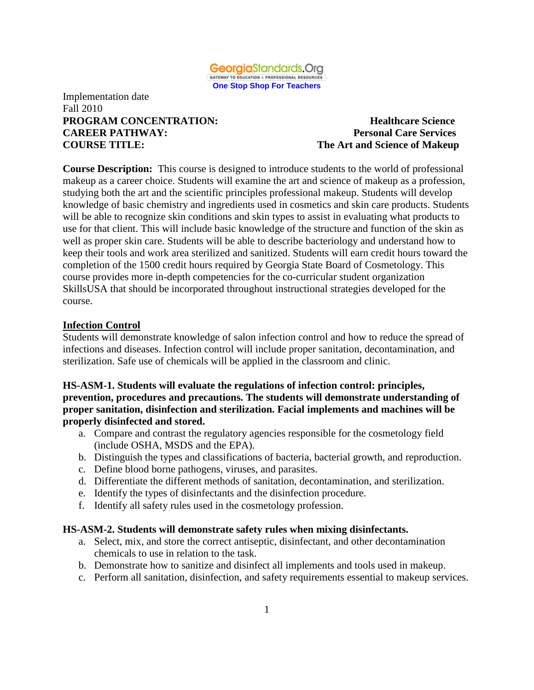

### Implementation date Fall 2010 **PROGRAM CONCENTRATION:** Healthcare Science **CAREER PATHWAY: Personal Care Services COURSE TITLE: The Art and Science of Makeup**

**Course Description:** This course is designed to introduce students to the world of professional makeup as a career choice. Students will examine the art and science of makeup as a profession, studying both the art and the scientific principles professional makeup. Students will develop knowledge of basic chemistry and ingredients used in cosmetics and skin care products. Students will be able to recognize skin conditions and skin types to assist in evaluating what products to use for that client. This will include basic knowledge of the structure and function of the skin as well as proper skin care. Students will be able to describe bacteriology and understand how to keep their tools and work area sterilized and sanitized. Students will earn credit hours toward the completion of the 1500 credit hours required by Georgia State Board of Cosmetology. This course provides more in-depth competencies for the co-curricular student organization SkillsUSA that should be incorporated throughout instructional strategies developed for the course.

#### **Infection Control**

Students will demonstrate knowledge of salon infection control and how to reduce the spread of infections and diseases. Infection control will include proper sanitation, decontamination, and sterilization. Safe use of chemicals will be applied in the classroom and clinic.

#### **HS-ASM-1. Students will evaluate the regulations of infection control: principles, prevention, procedures and precautions. The students will demonstrate understanding of proper sanitation, disinfection and sterilization. Facial implements and machines will be properly disinfected and stored.**

- a. Compare and contrast the regulatory agencies responsible for the cosmetology field (include OSHA, MSDS and the EPA).
- b. Distinguish the types and classifications of bacteria, bacterial growth, and reproduction.
- c. Define blood borne pathogens, viruses, and parasites.
- d. Differentiate the different methods of sanitation, decontamination, and sterilization.
- e. Identify the types of disinfectants and the disinfection procedure.
- f. Identify all safety rules used in the cosmetology profession.

#### **HS-ASM-2. Students will demonstrate safety rules when mixing disinfectants.**

- a. Select, mix, and store the correct antiseptic, disinfectant, and other decontamination chemicals to use in relation to the task.
- b. Demonstrate how to sanitize and disinfect all implements and tools used in makeup.
- c. Perform all sanitation, disinfection, and safety requirements essential to makeup services.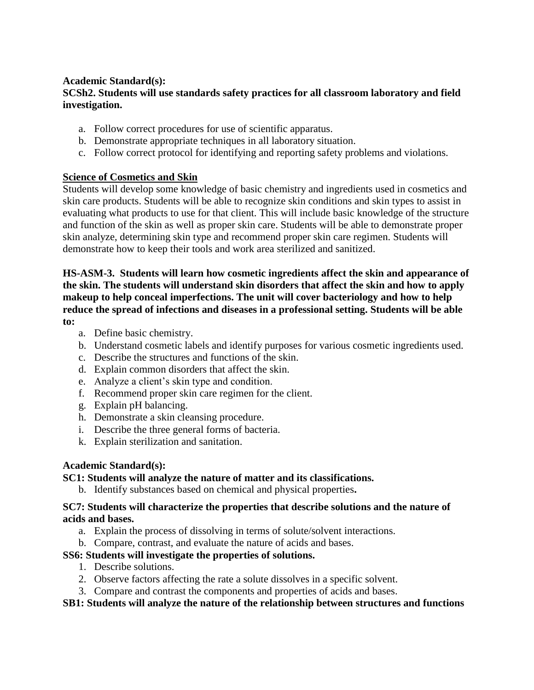# **Academic Standard(s):**

# **SCSh2. Students will use standards safety practices for all classroom laboratory and field investigation.**

- a. Follow correct procedures for use of scientific apparatus.
- b. Demonstrate appropriate techniques in all laboratory situation.
- c. Follow correct protocol for identifying and reporting safety problems and violations.

# **Science of Cosmetics and Skin**

Students will develop some knowledge of basic chemistry and ingredients used in cosmetics and skin care products. Students will be able to recognize skin conditions and skin types to assist in evaluating what products to use for that client. This will include basic knowledge of the structure and function of the skin as well as proper skin care. Students will be able to demonstrate proper skin analyze, determining skin type and recommend proper skin care regimen. Students will demonstrate how to keep their tools and work area sterilized and sanitized.

#### **HS-ASM-3. Students will learn how cosmetic ingredients affect the skin and appearance of the skin. The students will understand skin disorders that affect the skin and how to apply makeup to help conceal imperfections. The unit will cover bacteriology and how to help reduce the spread of infections and diseases in a professional setting. Students will be able to:**

- a. Define basic chemistry.
- b. Understand cosmetic labels and identify purposes for various cosmetic ingredients used.
- c. Describe the structures and functions of the skin.
- d. Explain common disorders that affect the skin.
- e. Analyze a client's skin type and condition.
- f. Recommend proper skin care regimen for the client.
- g. Explain pH balancing.
- h. Demonstrate a skin cleansing procedure.
- i. Describe the three general forms of bacteria.
- k. Explain sterilization and sanitation.

# **Academic Standard(s):**

# **SC1: Students will analyze the nature of matter and its classifications.**

b. Identify substances based on chemical and physical properties**.**

### **SC7: Students will characterize the properties that describe solutions and the nature of acids and bases.**

- a. Explain the process of dissolving in terms of solute/solvent interactions.
- b. Compare, contrast, and evaluate the nature of acids and bases.

# **SS6: Students will investigate the properties of solutions.**

- 1. Describe solutions.
- 2. Observe factors affecting the rate a solute dissolves in a specific solvent.
- 3. Compare and contrast the components and properties of acids and bases.

# **SB1: Students will analyze the nature of the relationship between structures and functions**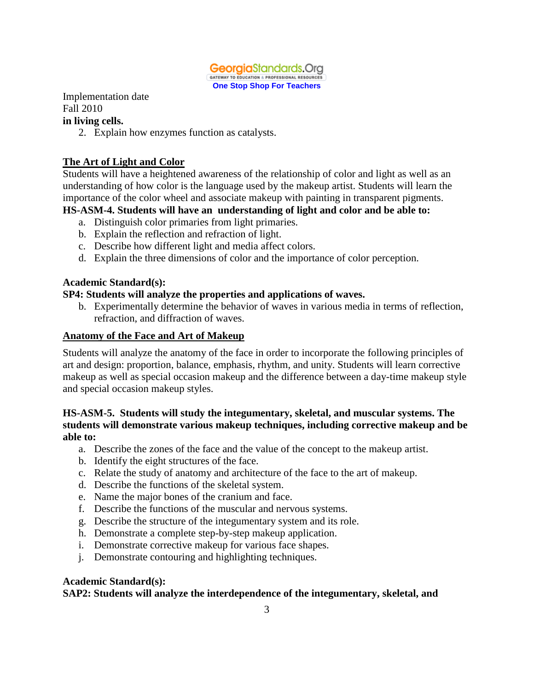

Implementation date Fall 2010

#### **in living cells.**

2. Explain how enzymes function as catalysts.

# **The Art of Light and Color**

Students will have a heightened awareness of the relationship of color and light as well as an understanding of how color is the language used by the makeup artist. Students will learn the importance of the color wheel and associate makeup with painting in transparent pigments.

# **HS-ASM-4. Students will have an understanding of light and color and be able to:**

- a. Distinguish color primaries from light primaries.
- b. Explain the reflection and refraction of light.
- c. Describe how different light and media affect colors.
- d. Explain the three dimensions of color and the importance of color perception.

#### **Academic Standard(s):**

### **SP4: Students will analyze the properties and applications of waves.**

b. Experimentally determine the behavior of waves in various media in terms of reflection, refraction, and diffraction of waves.

#### **Anatomy of the Face and Art of Makeup**

Students will analyze the anatomy of the face in order to incorporate the following principles of art and design: proportion, balance, emphasis, rhythm, and unity. Students will learn corrective makeup as well as special occasion makeup and the difference between a day-time makeup style and special occasion makeup styles.

### **HS-ASM-5. Students will study the integumentary, skeletal, and muscular systems. The students will demonstrate various makeup techniques, including corrective makeup and be able to:**

- a. Describe the zones of the face and the value of the concept to the makeup artist.
- b. Identify the eight structures of the face.
- c. Relate the study of anatomy and architecture of the face to the art of makeup.
- d. Describe the functions of the skeletal system.
- e. Name the major bones of the cranium and face.
- f. Describe the functions of the muscular and nervous systems.
- g. Describe the structure of the integumentary system and its role.
- h. Demonstrate a complete step-by-step makeup application.
- i. Demonstrate corrective makeup for various face shapes.
- j. Demonstrate contouring and highlighting techniques.

#### **Academic Standard(s):**

# **SAP2: Students will analyze the interdependence of the integumentary, skeletal, and**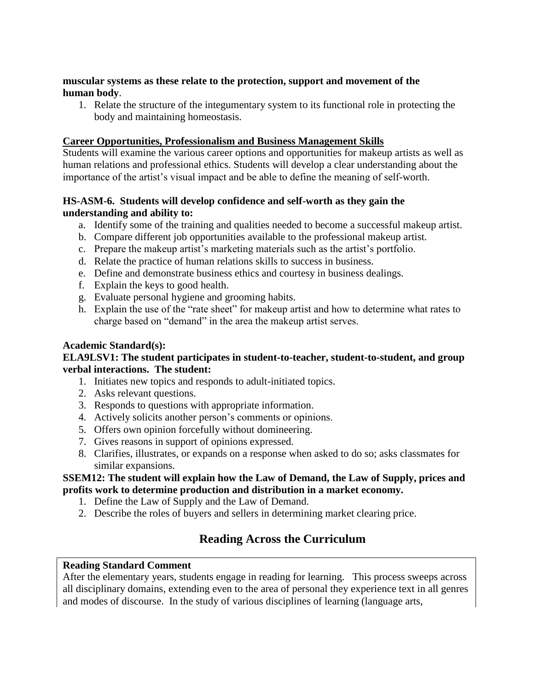### **muscular systems as these relate to the protection, support and movement of the human body**.

1. Relate the structure of the integumentary system to its functional role in protecting the body and maintaining homeostasis.

# **Career Opportunities, Professionalism and Business Management Skills**

Students will examine the various career options and opportunities for makeup artists as well as human relations and professional ethics. Students will develop a clear understanding about the importance of the artist's visual impact and be able to define the meaning of self-worth.

# **HS-ASM-6. Students will develop confidence and self-worth as they gain the understanding and ability to:**

- a. Identify some of the training and qualities needed to become a successful makeup artist.
- b. Compare different job opportunities available to the professional makeup artist.
- c. Prepare the makeup artist's marketing materials such as the artist's portfolio.
- d. Relate the practice of human relations skills to success in business.
- e. Define and demonstrate business ethics and courtesy in business dealings.
- f. Explain the keys to good health.
- g. Evaluate personal hygiene and grooming habits.
- h. Explain the use of the "rate sheet" for makeup artist and how to determine what rates to charge based on "demand" in the area the makeup artist serves.

# **Academic Standard(s):**

#### **ELA9LSV1: The student participates in student-to-teacher, student-to-student, and group verbal interactions. The student:**

- 1. Initiates new topics and responds to adult-initiated topics.
- 2. Asks relevant questions.
- 3. Responds to questions with appropriate information.
- 4. Actively solicits another person's comments or opinions.
- 5. Offers own opinion forcefully without domineering.
- 7. Gives reasons in support of opinions expressed.
- 8. Clarifies, illustrates, or expands on a response when asked to do so; asks classmates for similar expansions.

### **SSEM12: The student will explain how the Law of Demand, the Law of Supply, prices and profits work to determine production and distribution in a market economy.**

- 1. Define the Law of Supply and the Law of Demand.
- 2. Describe the roles of buyers and sellers in determining market clearing price.

# **Reading Across the Curriculum**

#### **Reading Standard Comment**

After the elementary years, students engage in reading for learning. This process sweeps across all disciplinary domains, extending even to the area of personal they experience text in all genres and modes of discourse. In the study of various disciplines of learning (language arts,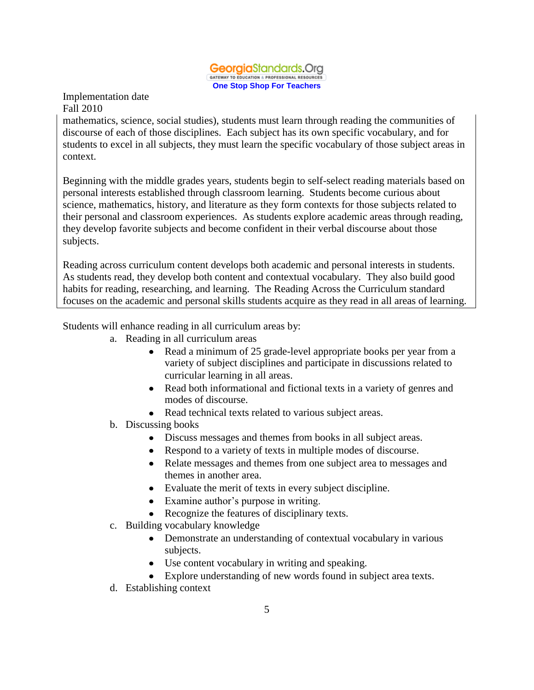#### GeorgiaStandards.Org GATEWAY TO EDUCATION & PROFESSIONAL RESOURCES **One Stop Shop For Teachers**

Implementation date Fall 2010

mathematics, science, social studies), students must learn through reading the communities of discourse of each of those disciplines. Each subject has its own specific vocabulary, and for students to excel in all subjects, they must learn the specific vocabulary of those subject areas in context.

Beginning with the middle grades years, students begin to self-select reading materials based on personal interests established through classroom learning. Students become curious about science, mathematics, history, and literature as they form contexts for those subjects related to their personal and classroom experiences. As students explore academic areas through reading, they develop favorite subjects and become confident in their verbal discourse about those subjects.

Reading across curriculum content develops both academic and personal interests in students. As students read, they develop both content and contextual vocabulary. They also build good habits for reading, researching, and learning. The Reading Across the Curriculum standard focuses on the academic and personal skills students acquire as they read in all areas of learning.

Students will enhance reading in all curriculum areas by:

- a. Reading in all curriculum areas
	- Read a minimum of 25 grade-level appropriate books per year from a variety of subject disciplines and participate in discussions related to curricular learning in all areas.
	- Read both informational and fictional texts in a variety of genres and modes of discourse.
	- Read technical texts related to various subject areas.
- b. Discussing books
	- Discuss messages and themes from books in all subject areas.
	- Respond to a variety of texts in multiple modes of discourse.
	- Relate messages and themes from one subject area to messages and themes in another area.
	- Evaluate the merit of texts in every subject discipline.
	- Examine author's purpose in writing.
	- Recognize the features of disciplinary texts.
- c. Building vocabulary knowledge
	- Demonstrate an understanding of contextual vocabulary in various subjects.
	- Use content vocabulary in writing and speaking.
	- Explore understanding of new words found in subject area texts.
- d. Establishing context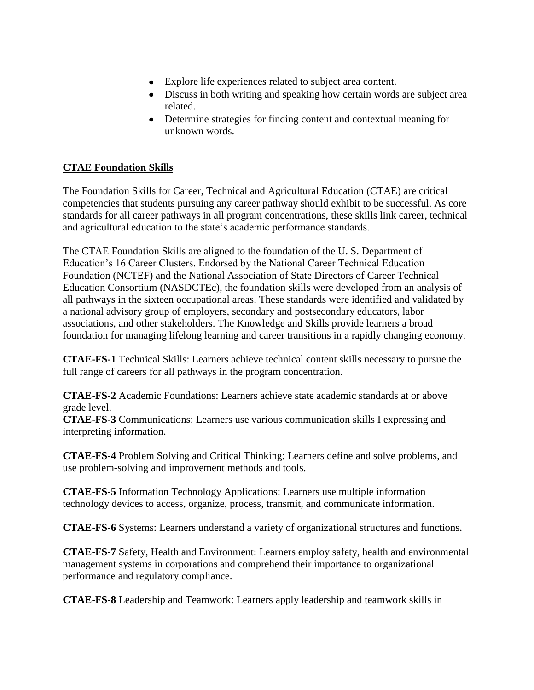- Explore life experiences related to subject area content.
- Discuss in both writing and speaking how certain words are subject area related.
- Determine strategies for finding content and contextual meaning for unknown words.

# **CTAE Foundation Skills**

The Foundation Skills for Career, Technical and Agricultural Education (CTAE) are critical competencies that students pursuing any career pathway should exhibit to be successful. As core standards for all career pathways in all program concentrations, these skills link career, technical and agricultural education to the state's academic performance standards.

The CTAE Foundation Skills are aligned to the foundation of the U. S. Department of Education's 16 Career Clusters. Endorsed by the National Career Technical Education Foundation (NCTEF) and the National Association of State Directors of Career Technical Education Consortium (NASDCTEc), the foundation skills were developed from an analysis of all pathways in the sixteen occupational areas. These standards were identified and validated by a national advisory group of employers, secondary and postsecondary educators, labor associations, and other stakeholders. The Knowledge and Skills provide learners a broad foundation for managing lifelong learning and career transitions in a rapidly changing economy.

**CTAE-FS-1** Technical Skills: Learners achieve technical content skills necessary to pursue the full range of careers for all pathways in the program concentration.

**CTAE-FS-2** Academic Foundations: Learners achieve state academic standards at or above grade level.

**CTAE-FS-3** Communications: Learners use various communication skills I expressing and interpreting information.

**CTAE-FS-4** Problem Solving and Critical Thinking: Learners define and solve problems, and use problem-solving and improvement methods and tools.

**CTAE-FS-5** Information Technology Applications: Learners use multiple information technology devices to access, organize, process, transmit, and communicate information.

**CTAE-FS-6** Systems: Learners understand a variety of organizational structures and functions.

**CTAE-FS-7** Safety, Health and Environment: Learners employ safety, health and environmental management systems in corporations and comprehend their importance to organizational performance and regulatory compliance.

**CTAE-FS-8** Leadership and Teamwork: Learners apply leadership and teamwork skills in